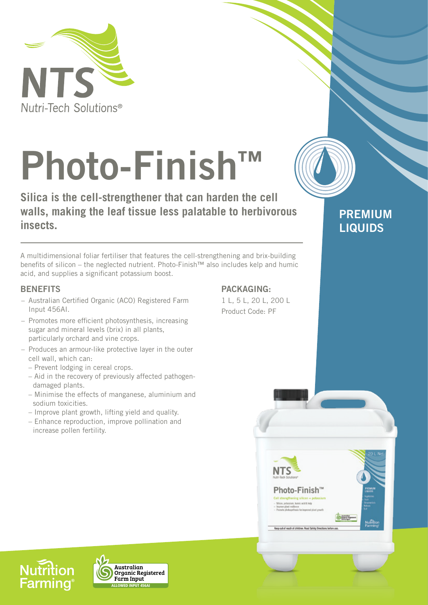

# **Photo-Finish™**

**Silica is the cell-strengthener that can harden the cell walls, making the leaf tissue less palatable to herbivorous insects.**

A multidimensional foliar fertiliser that features the cell-strengthening and brix-building benefits of silicon – the neglected nutrient. Photo-Finish™ also includes kelp and humic acid, and supplies a significant potassium boost.

# **BENEFITS**

- Australian Certified Organic (ACO) Registered Farm Input 456AI.
- Promotes more efficient photosynthesis, increasing sugar and mineral levels (brix) in all plants, particularly orchard and vine crops.
- Produces an armour-like protective layer in the outer cell wall, which can:
	- Prevent lodging in cereal crops.
	- Aid in the recovery of previously affected pathogen damaged plants.
	- Minimise the effects of manganese, aluminium and sodium toxicities.
	- Improve plant growth, lifting yield and quality.
	- Enhance reproduction, improve pollination and increase pollen fertility.

# **PACKAGING:**

1 L, 5 L, 20 L, 200 L Product Code: PF



asp out of reach of children. Read Safety Din

**PREMIUM** 

**LIQUIDS**

**Nutrition Farming**